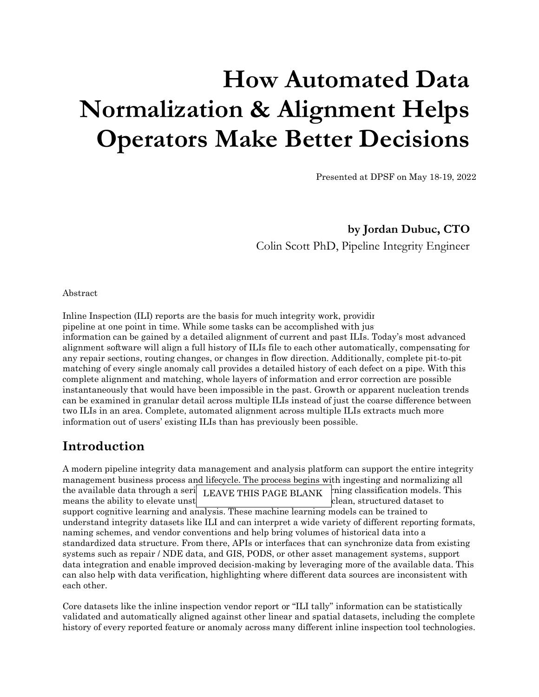# **How Automated Data Normalization & Alignment Helps Operators Make Better Decisions**

Presented at DPSF on May 18-19, 2022

**by Jordan Dubuc, CTO** Colin Scott PhD, Pipeline Integrity Engineer

Abstract

In line Inspection (ILI) reports are the basis for much integrity work, providing a snapshot of the snapshot of the theory and the theory of the theory of the theory of the theory of the theory of the theory of the theory pipeline at one point in time. While some tasks can be accomplished with just information can be gained by a detailed alignment of current and past ILIs. Today's most advanced alignment software will align a full history of ILIs file to each other automatically, compensating for any repair sections, routing changes, or changes in flow direction. Additionally, complete pit-to-pit matching of every single anomaly call provides a detailed history of each defect on a pipe. With this complete alignment and matching, whole layers of information and error correction are possible instantaneously that would have been impossible in the past. Growth or apparent nucleation trends can be examined in granular detail across multiple ILIs instead of just the coarse difference between two ILIs in an area. Complete, automated alignment across multiple ILIs extracts much more information out of users' existing ILIs than has previously been possible.

### **Introduction**

A modern pipeline integrity data management and analysis platform can support the entire integrity management business process and lifecycle. The process begins with ingesting and normalizing all the available data through a serie LEAVE THIS PAGE BLANK  $\lim_{n \to \infty}$  classification models. This means the ability to elevate unstructured or imperfect data into a clean, structured dataset to support cognitive learning and analysis. These machine learning models can be trained to understand integrity datasets like ILI and can interpret a wide variety of different reporting formats, naming schemes, and vendor conventions and help bring volumes of historical data into a standardized data structure. From there, APIs or interfaces that can synchronize data from existing systems such as repair / NDE data, and GIS, PODS, or other asset management systems, support data integration and enable improved decision-making by leveraging more of the available data. This can also help with data verification, highlighting where different data sources are inconsistent with each other.

Core datasets like the inline inspection vendor report or "ILI tally" information can be statistically validated and automatically aligned against other linear and spatial datasets, including the complete history of every reported feature or anomaly across many different inline inspection tool technologies.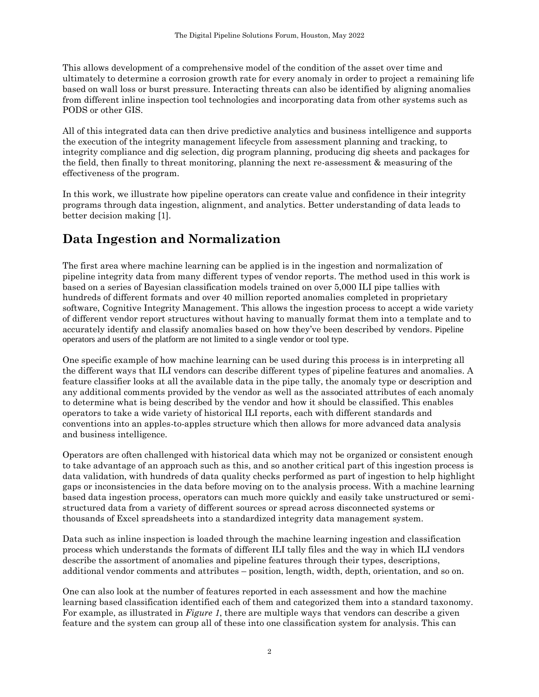This allows development of a comprehensive model of the condition of the asset over time and ultimately to determine a corrosion growth rate for every anomaly in order to project a remaining life based on wall loss or burst pressure. Interacting threats can also be identified by aligning anomalies from different inline inspection tool technologies and incorporating data from other systems such as PODS or other GIS.

All of this integrated data can then drive predictive analytics and business intelligence and supports the execution of the integrity management lifecycle from assessment planning and tracking, to integrity compliance and dig selection, dig program planning, producing dig sheets and packages for the field, then finally to threat monitoring, planning the next re-assessment & measuring of the effectiveness of the program.

In this work, we illustrate how pipeline operators can create value and confidence in their integrity programs through data ingestion, alignment, and analytics. Better understanding of data leads to better decision making [1].

## **Data Ingestion and Normalization**

The first area where machine learning can be applied is in the ingestion and normalization of pipeline integrity data from many different types of vendor reports. The method used in this work is based on a series of Bayesian classification models trained on over 5,000 ILI pipe tallies with hundreds of different formats and over 40 million reported anomalies completed in proprietary software, Cognitive Integrity Management. This allows the ingestion process to accept a wide variety of different vendor report structures without having to manually format them into a template and to accurately identify and classify anomalies based on how they've been described by vendors. Pipeline operators and users of the platform are not limited to a single vendor or tool type.

One specific example of how machine learning can be used during this process is in interpreting all the different ways that ILI vendors can describe different types of pipeline features and anomalies. A feature classifier looks at all the available data in the pipe tally, the anomaly type or description and any additional comments provided by the vendor as well as the associated attributes of each anomaly to determine what is being described by the vendor and how it should be classified. This enables operators to take a wide variety of historical ILI reports, each with different standards and conventions into an apples-to-apples structure which then allows for more advanced data analysis and business intelligence.

Operators are often challenged with historical data which may not be organized or consistent enough to take advantage of an approach such as this, and so another critical part of this ingestion process is data validation, with hundreds of data quality checks performed as part of ingestion to help highlight gaps or inconsistencies in the data before moving on to the analysis process. With a machine learning based data ingestion process, operators can much more quickly and easily take unstructured or semistructured data from a variety of different sources or spread across disconnected systems or thousands of Excel spreadsheets into a standardized integrity data management system.

Data such as inline inspection is loaded through the machine learning ingestion and classification process which understands the formats of different ILI tally files and the way in which ILI vendors describe the assortment of anomalies and pipeline features through their types, descriptions, additional vendor comments and attributes – position, length, width, depth, orientation, and so on.

One can also look at the number of features reported in each assessment and how the machine learning based classification identified each of them and categorized them into a standard taxonomy. For example, as illustrated in *Figure 1*, there are multiple ways that vendors can describe a given feature and the system can group all of these into one classification system for analysis. This can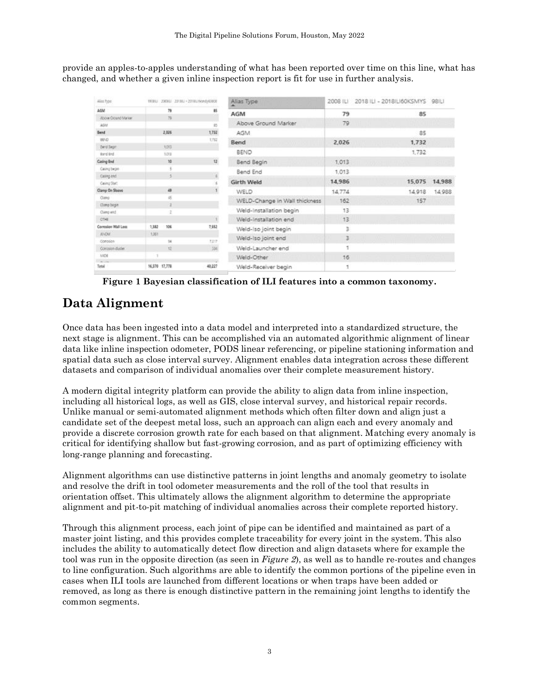provide an apples-to-apples understanding of what has been reported over time on this line, what has changed, and whether a given inline inspection report is fit for use in further analysis.

| Aliss Type             | 1908LJ 2008LJ 23/8LJ - 2018L/Wondy00003 |        | Alias Type                          | 2008 ILI | 2018 ILI - 2018 LI60KSMYS 98 LI |        |
|------------------------|-----------------------------------------|--------|-------------------------------------|----------|---------------------------------|--------|
| AGM                    | 79                                      | 85     | AGM                                 | 79       | 85                              |        |
| Above Ground Market    | 75                                      |        |                                     |          |                                 |        |
| AGM                    |                                         | 15     | Above Ground Marker                 | 79       |                                 |        |
| <b>Send</b>            | 2.026                                   | 1,732  | AGM                                 |          | 85                              |        |
| BEND.                  |                                         | 1,732  | Bend<br><b><i>TANK CONTROLL</i></b> | 2.026    | 1,732<br><b>STATE</b>           |        |
| dent Sept              | xott                                    |        |                                     |          |                                 |        |
| <b>Eard End</b>        | 1011                                    |        | BEND                                |          | 1,732                           |        |
| Casing End             | 10                                      | 12     | Bend Begin                          | 1.013    |                                 |        |
| Casing bean            |                                         |        | Bend End                            | 1,013    |                                 |        |
| Casing end             | LS.                                     | 4      |                                     |          |                                 |        |
| Ceving Start           |                                         |        | Girth Weld                          | 14,986   | 15,075                          | 14,988 |
| Clamp On Sloove        | 48                                      |        | <b>WELD</b>                         | 14,774   | 14,918                          | 14,988 |
| Ciating:               | š                                       |        | WELD-Change in Wall thickness       | 162      | 157                             |        |
| Clamp begin            | ×                                       |        |                                     |          |                                 |        |
| Clamp end              |                                         |        | Weld-Installation begin             | 13       |                                 |        |
| <b>CTHE</b>            |                                         |        | Weld-Installation end               | 13.      |                                 |        |
| Corrosion Wall Loss    | 1,382<br>106                            | 7,552  | Weld-Iso joint begin                | з        |                                 |        |
| <b>JUGU</b>            | 1,351                                   |        | Weld-Iso joint end                  | 3        | 0.00000                         | e von  |
| Conosion               | ū£                                      | 7.217  |                                     |          |                                 |        |
| Consign dader          | 12                                      | 334.   | Weld-Launcher end                   | 1        |                                 |        |
| <b>MOE</b><br>Can come |                                         |        | Weld-Other                          | 16       |                                 |        |
| Total                  | 16,370 17,778                           | 40,227 | Weld-Receiver begin                 | 1        |                                 |        |

**Figure 1 Bayesian classification of ILI features into a common taxonomy.**

## **Data Alignment**

Once data has been ingested into a data model and interpreted into a standardized structure, the next stage is alignment. This can be accomplished via an automated algorithmic alignment of linear data like inline inspection odometer, PODS linear referencing, or pipeline stationing information and spatial data such as close interval survey. Alignment enables data integration across these different datasets and comparison of individual anomalies over their complete measurement history.

A modern digital integrity platform can provide the ability to align data from inline inspection, including all historical logs, as well as GIS, close interval survey, and historical repair records. Unlike manual or semi-automated alignment methods which often filter down and align just a candidate set of the deepest metal loss, such an approach can align each and every anomaly and provide a discrete corrosion growth rate for each based on that alignment. Matching every anomaly is critical for identifying shallow but fast-growing corrosion, and as part of optimizing efficiency with long-range planning and forecasting.

Alignment algorithms can use distinctive patterns in joint lengths and anomaly geometry to isolate and resolve the drift in tool odometer measurements and the roll of the tool that results in orientation offset. This ultimately allows the alignment algorithm to determine the appropriate alignment and pit-to-pit matching of individual anomalies across their complete reported history.

Through this alignment process, each joint of pipe can be identified and maintained as part of a master joint listing, and this provides complete traceability for every joint in the system. This also includes the ability to automatically detect flow direction and align datasets where for example the tool was run in the opposite direction (as seen in *Figure 2*), as well as to handle re-routes and changes to line configuration. Such algorithms are able to identify the common portions of the pipeline even in cases when ILI tools are launched from different locations or when traps have been added or removed, as long as there is enough distinctive pattern in the remaining joint lengths to identify the common segments.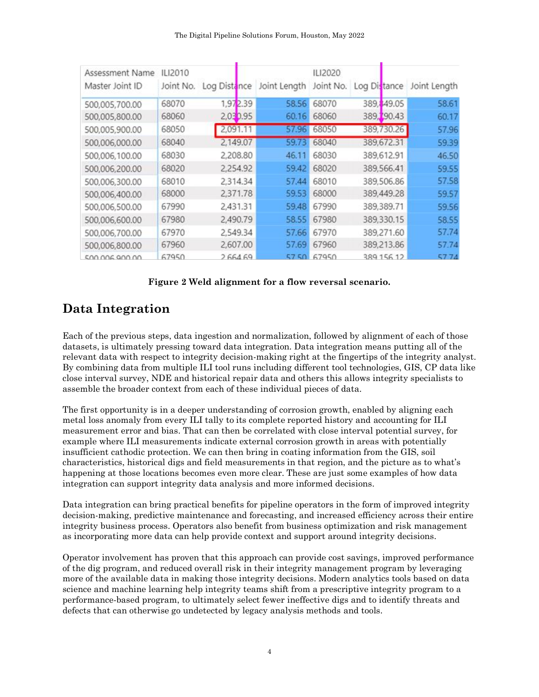| The Digital Pipeline Solutions Forum, Houston, May 2022 |  |  |
|---------------------------------------------------------|--|--|
|---------------------------------------------------------|--|--|

| Assessment Name<br>Master Joint ID | ILI2010<br>Joint No. | Log Distance | Joint Length | ILI2020<br>Joint No. | Log Distance |             | Joint Length |
|------------------------------------|----------------------|--------------|--------------|----------------------|--------------|-------------|--------------|
| 500,005,700.00                     | 68070                | 1,972.39     | 58.56        | 68070                |              | 389, 49.05  | 58.61        |
| 500,005,800.00                     | 68060                | 2,030.95     | 60.16        | 68060                |              | 389, 190.43 | 60.17        |
| 500,005,900.00                     | 68050                | 2,091.11     | 57.96        | 68050                |              | 389,730.26  | 57.96        |
| 500,006,000.00                     | 68040                | 2,149.07     | 59.73        | 68040                |              | 389,672.31  | 59.39        |
| 500,006,100.00                     | 68030                | 2,208.80     | 46.11        | 68030                |              | 389,612.91  | 46.50        |
| 500,006,200.00                     | 68020                | 2,254.92     | 59.42        | 68020                |              | 389,566.41  | 59.55        |
| 500,006,300.00                     | 68010                | 2,314.34     | 57.44        | 68010                |              | 389,506.86  | 57.58        |
| 500,006,400.00                     | 68000                | 2,371.78     | 59.53        | 68000                |              | 389,449.28  | 59.57        |
| 500,006,500.00                     | 67990                | 2,431.31     | 59.48        | 67990                |              | 389,389.71  | 59.56        |
| 500,006,600.00                     | 67980                | 2,490.79     | 58.55        | 67980                |              | 389,330.15  | 58.55        |
| 500,006,700.00                     | 67970                | 2,549.34     | 57.66        | 67970                |              | 389,271.60  | 57.74        |
| 500,006,800.00                     | 67960                | 2,607.00     | 57.69        | 67960                |              | 389,213.86  | 57.74        |
| 500.006.900.00                     | 67950                | 266469       |              | 5750 67950           |              | 389 156 12  | 577A         |

#### **Figure 2 Weld alignment for a flow reversal scenario.**

## **Data Integration**

Each of the previous steps, data ingestion and normalization, followed by alignment of each of those datasets, is ultimately pressing toward data integration. Data integration means putting all of the relevant data with respect to integrity decision-making right at the fingertips of the integrity analyst. By combining data from multiple ILI tool runs including different tool technologies, GIS, CP data like close interval survey, NDE and historical repair data and others this allows integrity specialists to assemble the broader context from each of these individual pieces of data.

The first opportunity is in a deeper understanding of corrosion growth, enabled by aligning each metal loss anomaly from every ILI tally to its complete reported history and accounting for ILI measurement error and bias. That can then be correlated with close interval potential survey, for example where ILI measurements indicate external corrosion growth in areas with potentially insufficient cathodic protection. We can then bring in coating information from the GIS, soil characteristics, historical digs and field measurements in that region, and the picture as to what's happening at those locations becomes even more clear. These are just some examples of how data integration can support integrity data analysis and more informed decisions.

Data integration can bring practical benefits for pipeline operators in the form of improved integrity decision-making, predictive maintenance and forecasting, and increased efficiency across their entire integrity business process. Operators also benefit from business optimization and risk management as incorporating more data can help provide context and support around integrity decisions.

Operator involvement has proven that this approach can provide cost savings, improved performance of the dig program, and reduced overall risk in their integrity management program by leveraging more of the available data in making those integrity decisions. Modern analytics tools based on data science and machine learning help integrity teams shift from a prescriptive integrity program to a performance-based program, to ultimately select fewer ineffective digs and to identify threats and defects that can otherwise go undetected by legacy analysis methods and tools.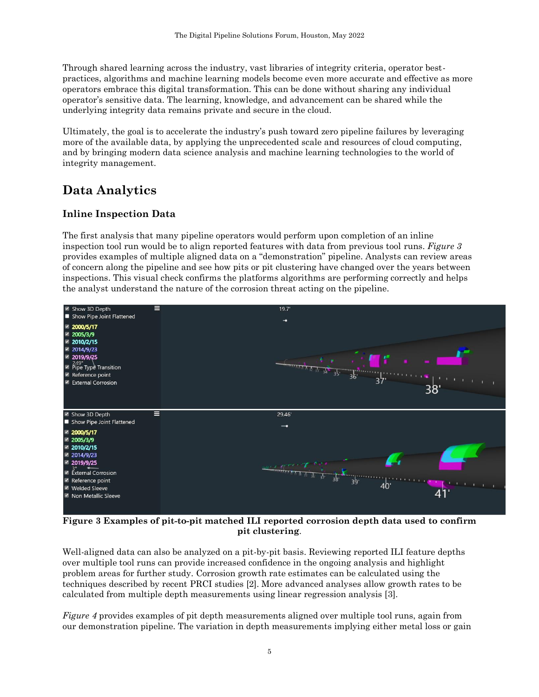Through shared learning across the industry, vast libraries of integrity criteria, operator bestpractices, algorithms and machine learning models become even more accurate and effective as more operators embrace this digital transformation. This can be done without sharing any individual operator's sensitive data. The learning, knowledge, and advancement can be shared while the underlying integrity data remains private and secure in the cloud.

Ultimately, the goal is to accelerate the industry's push toward zero pipeline failures by leveraging more of the available data, by applying the unprecedented scale and resources of cloud computing, and by bringing modern data science analysis and machine learning technologies to the world of integrity management.

## **Data Analytics**

#### **Inline Inspection Data**

The first analysis that many pipeline operators would perform upon completion of an inline inspection tool run would be to align reported features with data from previous tool runs. *Figure 3* provides examples of multiple aligned data on a "demonstration" pipeline. Analysts can review areas of concern along the pipeline and see how pits or pit clustering have changed over the years between inspections. This visual check confirms the platforms algorithms are performing correctly and helps the analyst understand the nature of the corrosion threat acting on the pipeline.



**Figure 3 Examples of pit-to-pit matched ILI reported corrosion depth data used to confirm pit clustering**.

Well-aligned data can also be analyzed on a pit-by-pit basis. Reviewing reported ILI feature depths over multiple tool runs can provide increased confidence in the ongoing analysis and highlight problem areas for further study*.* Corrosion growth rate estimates can be calculated using the techniques described by recent PRCI studies [2]. More advanced analyses allow growth rates to be calculated from multiple depth measurements using linear regression analysis [3].

*Figure 4* provides examples of pit depth measurements aligned over multiple tool runs, again from our demonstration pipeline. The variation in depth measurements implying either metal loss or gain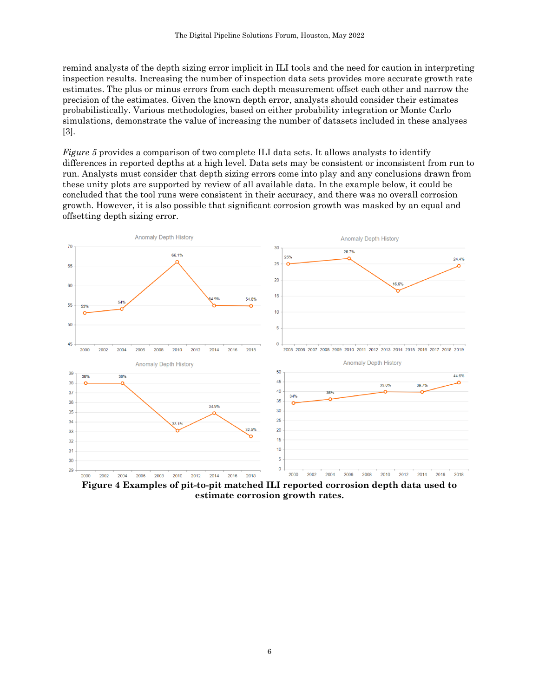remind analysts of the depth sizing error implicit in ILI tools and the need for caution in interpreting inspection results. Increasing the number of inspection data sets provides more accurate growth rate estimates. The plus or minus errors from each depth measurement offset each other and narrow the precision of the estimates. Given the known depth error, analysts should consider their estimates probabilistically. Various methodologies, based on either probability integration or Monte Carlo simulations, demonstrate the value of increasing the number of datasets included in these analyses [3].

*Figure 5* provides a comparison of two complete ILI data sets. It allows analysts to identify differences in reported depths at a high level. Data sets may be consistent or inconsistent from run to run. Analysts must consider that depth sizing errors come into play and any conclusions drawn from these unity plots are supported by review of all available data. In the example below, it could be concluded that the tool runs were consistent in their accuracy, and there was no overall corrosion growth. However, it is also possible that significant corrosion growth was masked by an equal and offsetting depth sizing error.



**Figure 4 Examples of pit-to-pit matched ILI reported corrosion depth data used to estimate corrosion growth rates.**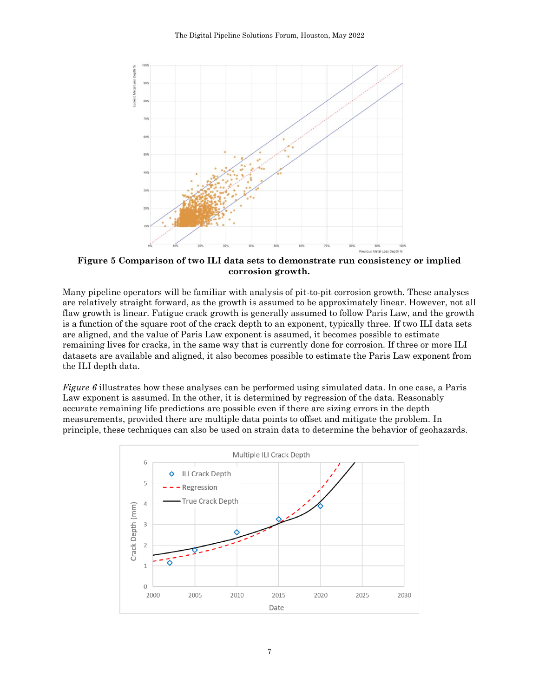

**Figure 5 Comparison of two ILI data sets to demonstrate run consistency or implied corrosion growth.**

Many pipeline operators will be familiar with analysis of pit-to-pit corrosion growth. These analyses are relatively straight forward, as the growth is assumed to be approximately linear. However, not all flaw growth is linear. Fatigue crack growth is generally assumed to follow Paris Law, and the growth is a function of the square root of the crack depth to an exponent, typically three. If two ILI data sets are aligned, and the value of Paris Law exponent is assumed, it becomes possible to estimate remaining lives for cracks, in the same way that is currently done for corrosion. If three or more ILI datasets are available and aligned, it also becomes possible to estimate the Paris Law exponent from the ILI depth data.

*Figure 6* illustrates how these analyses can be performed using simulated data. In one case, a Paris Law exponent is assumed. In the other, it is determined by regression of the data. Reasonably accurate remaining life predictions are possible even if there are sizing errors in the depth measurements, provided there are multiple data points to offset and mitigate the problem. In principle, these techniques can also be used on strain data to determine the behavior of geohazards.

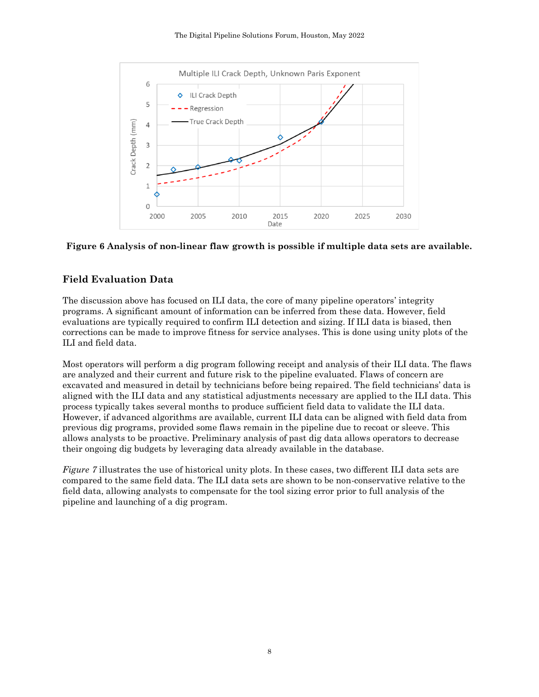

#### **Figure 6 Analysis of non-linear flaw growth is possible if multiple data sets are available.**

#### **Field Evaluation Data**

The discussion above has focused on ILI data, the core of many pipeline operators' integrity programs. A significant amount of information can be inferred from these data. However, field evaluations are typically required to confirm ILI detection and sizing. If ILI data is biased, then corrections can be made to improve fitness for service analyses. This is done using unity plots of the ILI and field data.

Most operators will perform a dig program following receipt and analysis of their ILI data. The flaws are analyzed and their current and future risk to the pipeline evaluated. Flaws of concern are excavated and measured in detail by technicians before being repaired. The field technicians' data is aligned with the ILI data and any statistical adjustments necessary are applied to the ILI data. This process typically takes several months to produce sufficient field data to validate the ILI data. However, if advanced algorithms are available, current ILI data can be aligned with field data from previous dig programs, provided some flaws remain in the pipeline due to recoat or sleeve. This allows analysts to be proactive. Preliminary analysis of past dig data allows operators to decrease their ongoing dig budgets by leveraging data already available in the database.

*Figure 7* illustrates the use of historical unity plots. In these cases, two different ILI data sets are compared to the same field data. The ILI data sets are shown to be non-conservative relative to the field data, allowing analysts to compensate for the tool sizing error prior to full analysis of the pipeline and launching of a dig program.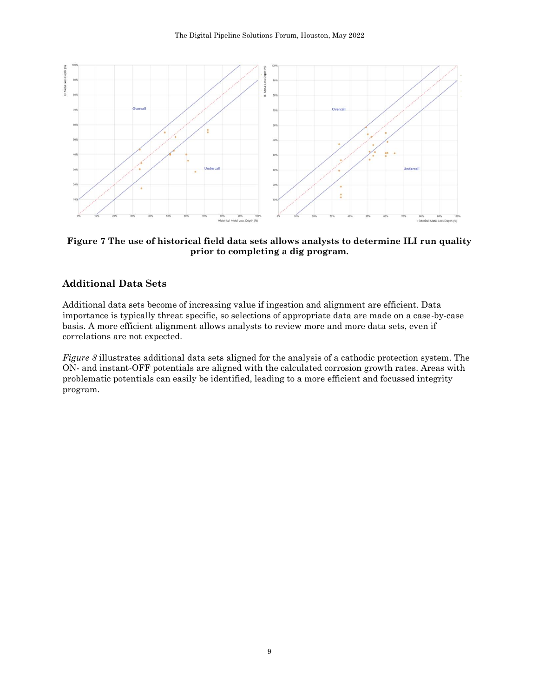

**Figure 7 The use of historical field data sets allows analysts to determine ILI run quality prior to completing a dig program.**

#### **Additional Data Sets**

Additional data sets become of increasing value if ingestion and alignment are efficient. Data importance is typically threat specific, so selections of appropriate data are made on a case-by-case basis. A more efficient alignment allows analysts to review more and more data sets, even if correlations are not expected.

*Figure 8* illustrates additional data sets aligned for the analysis of a cathodic protection system. The ON- and instant-OFF potentials are aligned with the calculated corrosion growth rates. Areas with problematic potentials can easily be identified, leading to a more efficient and focussed integrity program.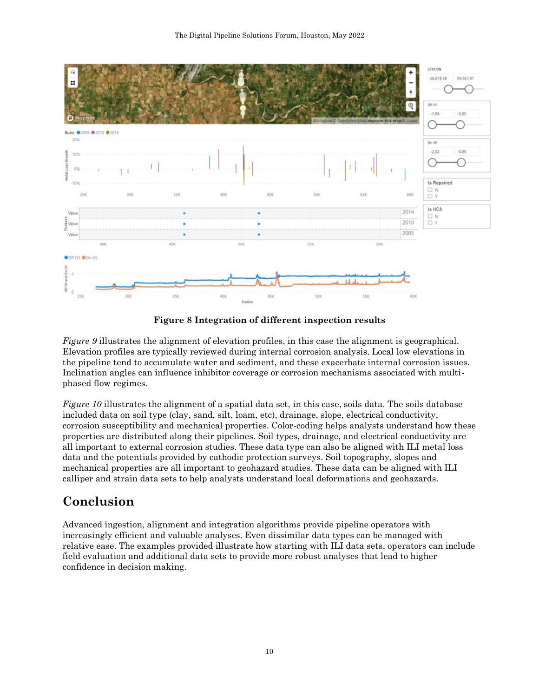

**Figure 8 Integration of different inspection results**

*Figure 9* illustrates the alignment of elevation profiles, in this case the alignment is geographical. Elevation profiles are typically reviewed during internal corrosion analysis. Local low elevations in the pipeline tend to accumulate water and sediment, and these exacerbate internal corrosion issues. Inclination angles can influence inhibitor coverage or corrosion mechanisms associated with multiphased flow regimes.

*Figure 10* illustrates the alignment of a spatial data set, in this case, soils data. The soils database included data on soil type (clay, sand, silt, loam, etc), drainage, slope, electrical conductivity, corrosion susceptibility and mechanical properties. Color-coding helps analysts understand how these properties are distributed along their pipelines. Soil types, drainage, and electrical conductivity are all important to external corrosion studies. These data type can also be aligned with ILI metal loss data and the potentials provided by cathodic protection surveys. Soil topography, slopes and mechanical properties are all important to geohazard studies. These data can be aligned with ILI calliper and strain data sets to help analysts understand local deformations and geohazards.

# **Conclusion**

Advanced ingestion, alignment and integration algorithms provide pipeline operators with increasingly efficient and valuable analyses. Even dissimilar data types can be managed with relative ease. The examples provided illustrate how starting with ILI data sets, operators can include field evaluation and additional data sets to provide more robust analyses that lead to higher confidence in decision making.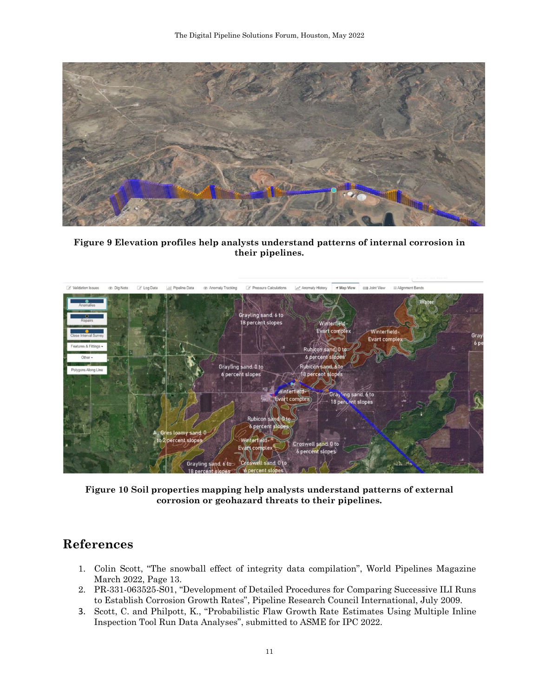

**Figure 9 Elevation profiles help analysts understand patterns of internal corrosion in their pipelines.**



**Figure 10 Soil properties mapping help analysts understand patterns of external corrosion or geohazard threats to their pipelines.**

## **References**

- 1. Colin Scott, "The snowball effect of integrity data compilation", World Pipelines Magazine March 2022, Page 13.
- 2. PR-331-063525-S01, "Development of Detailed Procedures for Comparing Successive ILI Runs to Establish Corrosion Growth Rates", Pipeline Research Council International, July 2009.
- 3. Scott, C. and Philpott, K., "Probabilistic Flaw Growth Rate Estimates Using Multiple Inline Inspection Tool Run Data Analyses", submitted to ASME for IPC 2022.